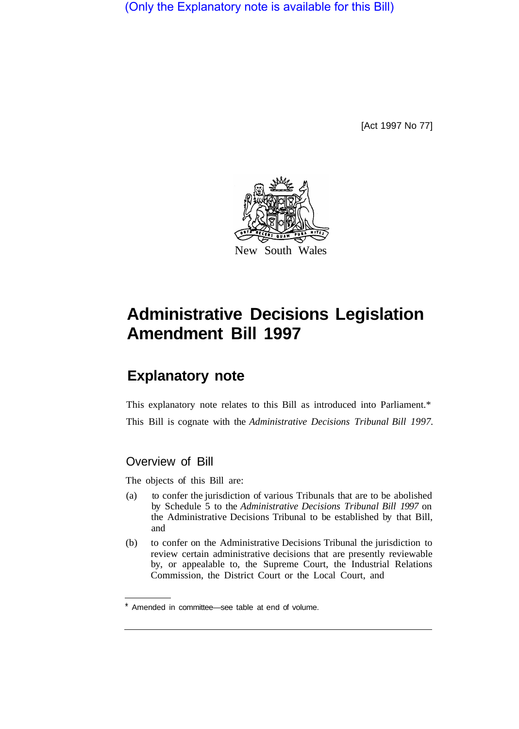(Only the Explanatory note is available for this Bill)

[Act 1997 No 77]



## **Administrative Decisions Legislation Amendment Bill 1997**

## **Explanatory note**

This explanatory note relates to this Bill as introduced into Parliament.\* This Bill is cognate with the *Administrative Decisions Tribunal Bill 1997.* 

## Overview of Bill

The objects of this Bill are:

- (a) to confer the jurisdiction of various Tribunals that are to be abolished by Schedule 5 to the *Administrative Decisions Tribunal Bill 1997* on the Administrative Decisions Tribunal to be established by that Bill, and
- (b) to confer on the Administrative Decisions Tribunal the jurisdiction to review certain administrative decisions that are presently reviewable by, or appealable to, the Supreme Court, the Industrial Relations Commission, the District Court or the Local Court, and

<sup>\*</sup> Amended in committee—see table at end of volume.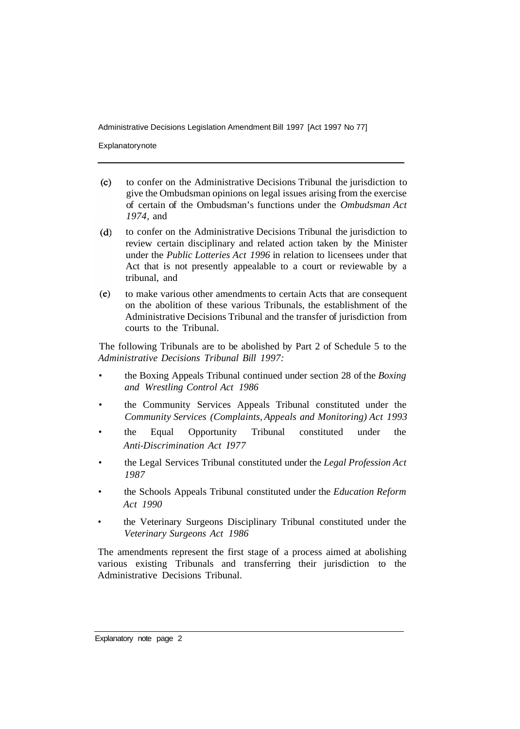Administrative Decisions Legislation Amendment Bill 1997 [Act 1997 No 77]

**Explanatory note** 

- $(c)$ to confer on the Administrative Decisions Tribunal the jurisdiction to give the Ombudsman opinions on legal issues arising from the exercise of certain of the Ombudsman's functions under the *Ombudsman Act 1974,* and
- $(d)$ to confer on the Administrative Decisions Tribunal the jurisdiction to review certain disciplinary and related action taken by the Minister under the *Public Lotteries Act 1996* in relation to licensees under that Act that is not presently appealable to a court or reviewable by a tribunal, and
- $(e)$ to make various other amendments to certain Acts that are consequent on the abolition of these various Tribunals, the establishment of the Administrative Decisions Tribunal and the transfer of jurisdiction from courts to the Tribunal.

The following Tribunals are to be abolished by Part 2 of Schedule 5 to the *Administrative Decisions Tribunal Bill 1997:* 

- the Boxing Appeals Tribunal continued under section 28 of the *Boxing and Wrestling Control Act 1986*
- the Community Services Appeals Tribunal constituted under the *Community Services (Complaints, Appeals and Monitoring) Act 1993*
- the Equal Opportunity Tribunal constituted under the *Anti-Discrimination Act I977*
- the Legal Services Tribunal constituted under the *Legal Profession Act 1987*
- the Schools Appeals Tribunal constituted under the *Education Reform Act 1990*
- the Veterinary Surgeons Disciplinary Tribunal constituted under the *Veterinary Surgeons Act 1986*

The amendments represent the first stage of a process aimed at abolishing various existing Tribunals and transferring their jurisdiction to the Administrative Decisions Tribunal.